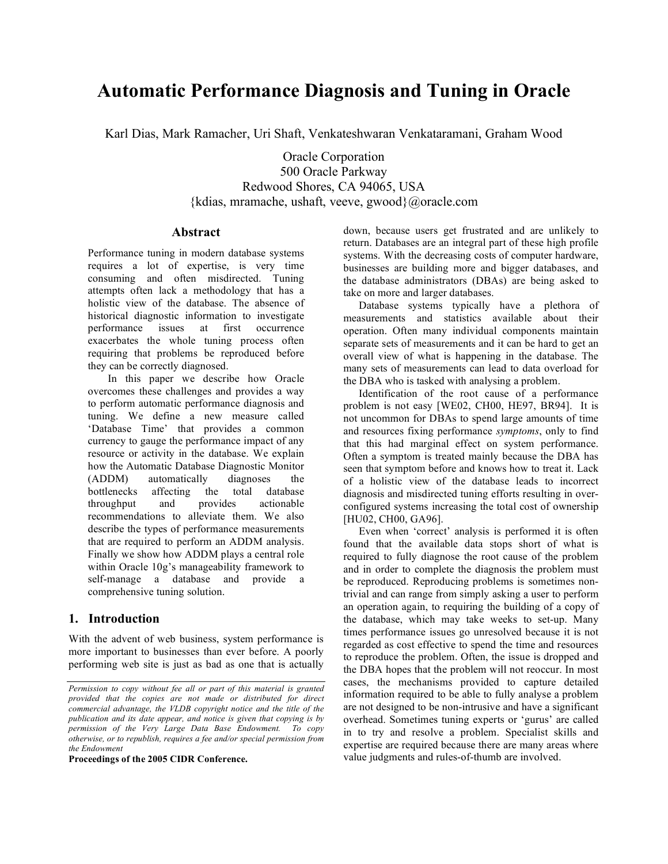# **Automatic Performance Diagnosis and Tuning in Oracle**

Karl Dias, Mark Ramacher, Uri Shaft, Venkateshwaran Venkataramani, Graham Wood

Oracle Corporation 500 Oracle Parkway Redwood Shores, CA 94065, USA {kdias, mramache, ushaft, veeve, gwood}@oracle.com

#### **Abstract**

Performance tuning in modern database systems requires a lot of expertise, is very time consuming and often misdirected. Tuning attempts often lack a methodology that has a holistic view of the database. The absence of historical diagnostic information to investigate performance issues at first occurrence exacerbates the whole tuning process often requiring that problems be reproduced before they can be correctly diagnosed.

In this paper we describe how Oracle overcomes these challenges and provides a way to perform automatic performance diagnosis and tuning. We define a new measure called 'Database Time' that provides a common currency to gauge the performance impact of any resource or activity in the database. We explain how the Automatic Database Diagnostic Monitor (ADDM) automatically diagnoses the bottlenecks affecting the total database throughput and provides actionable recommendations to alleviate them. We also describe the types of performance measurements that are required to perform an ADDM analysis. Finally we show how ADDM plays a central role within Oracle 10g's manageability framework to self-manage a database and provide a comprehensive tuning solution.

## **1. Introduction**

With the advent of web business, system performance is more important to businesses than ever before. A poorly performing web site is just as bad as one that is actually

**Proceedings of the 2005 CIDR Conference.**

down, because users get frustrated and are unlikely to return. Databases are an integral part of these high profile systems. With the decreasing costs of computer hardware, businesses are building more and bigger databases, and the database administrators (DBAs) are being asked to take on more and larger databases.

Database systems typically have a plethora of measurements and statistics available about their operation. Often many individual components maintain separate sets of measurements and it can be hard to get an overall view of what is happening in the database. The many sets of measurements can lead to data overload for the DBA who is tasked with analysing a problem.

Identification of the root cause of a performance problem is not easy [WE02, CH00, HE97, BR94]. It is not uncommon for DBAs to spend large amounts of time and resources fixing performance *symptoms*, only to find that this had marginal effect on system performance. Often a symptom is treated mainly because the DBA has seen that symptom before and knows how to treat it. Lack of a holistic view of the database leads to incorrect diagnosis and misdirected tuning efforts resulting in overconfigured systems increasing the total cost of ownership [HU02, CH00, GA96].

Even when 'correct' analysis is performed it is often found that the available data stops short of what is required to fully diagnose the root cause of the problem and in order to complete the diagnosis the problem must be reproduced. Reproducing problems is sometimes nontrivial and can range from simply asking a user to perform an operation again, to requiring the building of a copy of the database, which may take weeks to set-up. Many times performance issues go unresolved because it is not regarded as cost effective to spend the time and resources to reproduce the problem. Often, the issue is dropped and the DBA hopes that the problem will not reoccur. In most cases, the mechanisms provided to capture detailed information required to be able to fully analyse a problem are not designed to be non-intrusive and have a significant overhead. Sometimes tuning experts or 'gurus' are called in to try and resolve a problem. Specialist skills and expertise are required because there are many areas where value judgments and rules-of-thumb are involved.

*Permission to copy without fee all or part of this material is granted provided that the copies are not made or distributed for direct commercial advantage, the VLDB copyright notice and the title of the publication and its date appear, and notice is given that copying is by permission of the Very Large Data Base Endowment. To copy otherwise, or to republish, requires a fee and/or special permission from the Endowment*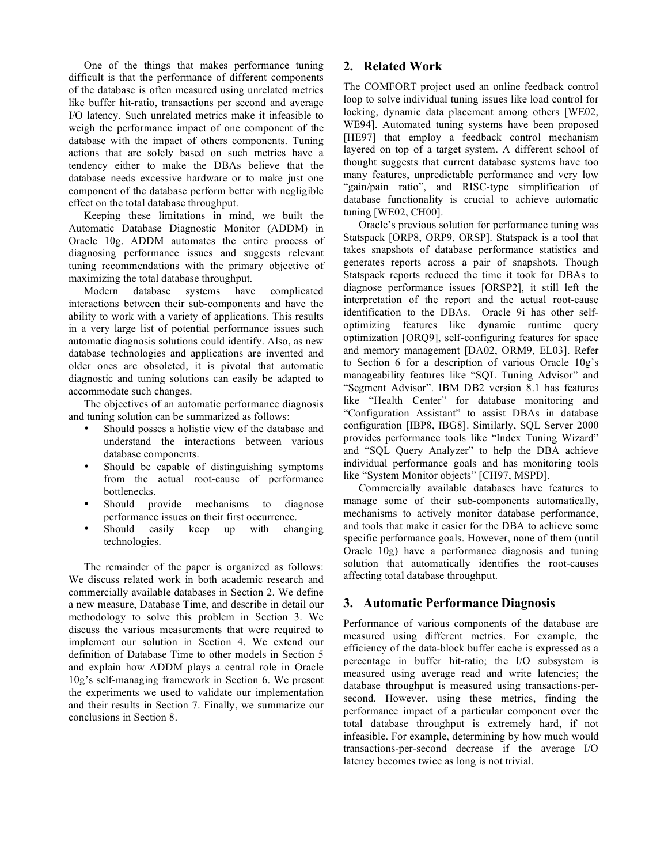One of the things that makes performance tuning difficult is that the performance of different components of the database is often measured using unrelated metrics like buffer hit-ratio, transactions per second and average I/O latency. Such unrelated metrics make it infeasible to weigh the performance impact of one component of the database with the impact of others components. Tuning actions that are solely based on such metrics have a tendency either to make the DBAs believe that the database needs excessive hardware or to make just one component of the database perform better with negligible effect on the total database throughput.

Keeping these limitations in mind, we built the Automatic Database Diagnostic Monitor (ADDM) in Oracle 10g. ADDM automates the entire process of diagnosing performance issues and suggests relevant tuning recommendations with the primary objective of maximizing the total database throughput.

Modern database systems have complicated interactions between their sub-components and have the ability to work with a variety of applications. This results in a very large list of potential performance issues such automatic diagnosis solutions could identify. Also, as new database technologies and applications are invented and older ones are obsoleted, it is pivotal that automatic diagnostic and tuning solutions can easily be adapted to accommodate such changes.

The objectives of an automatic performance diagnosis and tuning solution can be summarized as follows:

- Should posses a holistic view of the database and understand the interactions between various database components.
- Should be capable of distinguishing symptoms from the actual root-cause of performance bottlenecks.
- Should provide mechanisms to diagnose performance issues on their first occurrence.
- Should easily keep up with changing technologies.

The remainder of the paper is organized as follows: We discuss related work in both academic research and commercially available databases in Section 2. We define a new measure, Database Time, and describe in detail our methodology to solve this problem in Section 3. We discuss the various measurements that were required to implement our solution in Section 4. We extend our definition of Database Time to other models in Section 5 and explain how ADDM plays a central role in Oracle 10g's self-managing framework in Section 6. We present the experiments we used to validate our implementation and their results in Section 7. Finally, we summarize our conclusions in Section 8.

# **2. Related Work**

The COMFORT project used an online feedback control loop to solve individual tuning issues like load control for locking, dynamic data placement among others [WE02, WE94]. Automated tuning systems have been proposed [HE97] that employ a feedback control mechanism layered on top of a target system. A different school of thought suggests that current database systems have too many features, unpredictable performance and very low "gain/pain ratio", and RISC-type simplification of database functionality is crucial to achieve automatic tuning [WE02, CH00].

Oracle's previous solution for performance tuning was Statspack [ORP8, ORP9, ORSP]. Statspack is a tool that takes snapshots of database performance statistics and generates reports across a pair of snapshots. Though Statspack reports reduced the time it took for DBAs to diagnose performance issues [ORSP2], it still left the interpretation of the report and the actual root-cause identification to the DBAs. Oracle 9i has other selfoptimizing features like dynamic runtime query optimization [ORQ9], self-configuring features for space and memory management [DA02, ORM9, EL03]. Refer to Section 6 for a description of various Oracle 10g's manageability features like "SQL Tuning Advisor" and "Segment Advisor". IBM DB2 version 8.1 has features like "Health Center" for database monitoring and "Configuration Assistant" to assist DBAs in database configuration [IBP8, IBG8]. Similarly, SQL Server 2000 provides performance tools like "Index Tuning Wizard" and "SQL Query Analyzer" to help the DBA achieve individual performance goals and has monitoring tools like "System Monitor objects" [CH97, MSPD].

Commercially available databases have features to manage some of their sub-components automatically, mechanisms to actively monitor database performance, and tools that make it easier for the DBA to achieve some specific performance goals. However, none of them (until Oracle 10g) have a performance diagnosis and tuning solution that automatically identifies the root-causes affecting total database throughput.

# **3. Automatic Performance Diagnosis**

Performance of various components of the database are measured using different metrics. For example, the efficiency of the data-block buffer cache is expressed as a percentage in buffer hit-ratio; the I/O subsystem is measured using average read and write latencies; the database throughput is measured using transactions-persecond. However, using these metrics, finding the performance impact of a particular component over the total database throughput is extremely hard, if not infeasible. For example, determining by how much would transactions-per-second decrease if the average I/O latency becomes twice as long is not trivial.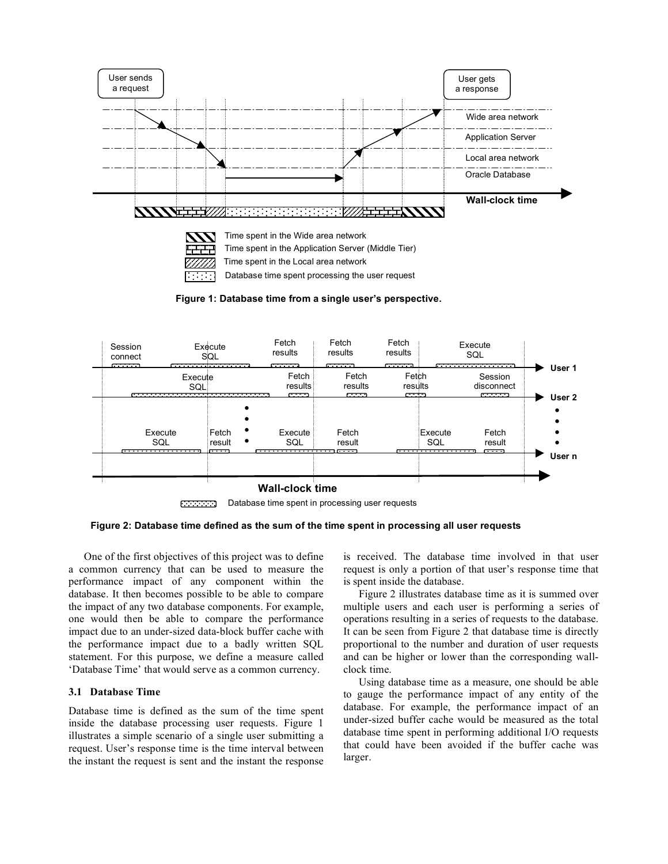

**Figure 1: Database time from a single user's perspective.**



Database time spent in processing user requests متحدثته

**Figure 2: Database time defined as the sum of the time spent in processing all user requests**

One of the first objectives of this project was to define a common currency that can be used to measure the performance impact of any component within the database. It then becomes possible to be able to compare the impact of any two database components. For example, one would then be able to compare the performance impact due to an under-sized data-block buffer cache with the performance impact due to a badly written SQL statement. For this purpose, we define a measure called 'Database Time' that would serve as a common currency.

## **3.1 Database Time**

Database time is defined as the sum of the time spent inside the database processing user requests. Figure 1 illustrates a simple scenario of a single user submitting a request. User's response time is the time interval between the instant the request is sent and the instant the response is received. The database time involved in that user request is only a portion of that user's response time that is spent inside the database.

Figure 2 illustrates database time as it is summed over multiple users and each user is performing a series of operations resulting in a series of requests to the database. It can be seen from Figure 2 that database time is directly proportional to the number and duration of user requests and can be higher or lower than the corresponding wallclock time.

Using database time as a measure, one should be able to gauge the performance impact of any entity of the database. For example, the performance impact of an under-sized buffer cache would be measured as the total database time spent in performing additional I/O requests that could have been avoided if the buffer cache was larger.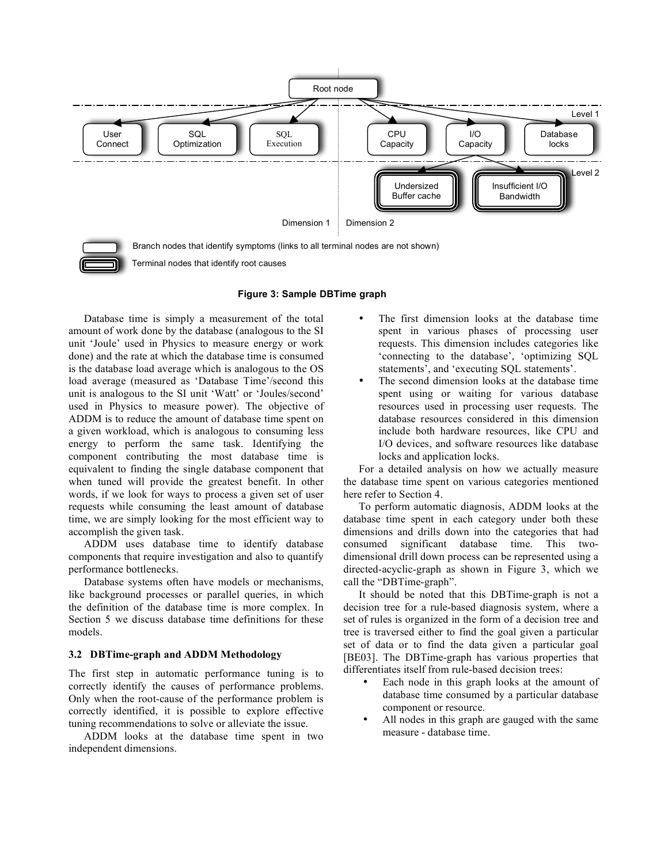

Terminal nodes that identify root causes

#### **Figure 3: Sample DBTime graph**

Database time is simply a measurement of the total amount of work done by the database (analogous to the SI unit 'Joule' used in Physics to measure energy or work done) and the rate at which the database time is consumed is the database load average which is analogous to the OS load average (measured as 'Database Time'/second this unit is analogous to the SI unit 'Watt' or 'Joules/second' used in Physics to measure power). The objective of ADDM is to reduce the amount of database time spent on a given workload, which is analogous to consuming less energy to perform the same task. Identifying the component contributing the most database time is equivalent to finding the single database component that when tuned will provide the greatest benefit. In other words, if we look for ways to process a given set of user requests while consuming the least amount of database time, we are simply looking for the most efficient way to accomplish the given task.

ADDM uses database time to identify database components that require investigation and also to quantify performance bottlenecks.

Database systems often have models or mechanisms, like background processes or parallel queries, in which the definition of the database time is more complex. In Section 5 we discuss database time definitions for these models.

#### **3.2 DBTime-graph and ADDM Methodology**

The first step in automatic performance tuning is to correctly identify the causes of performance problems. Only when the root-cause of the performance problem is correctly identified, it is possible to explore effective tuning recommendations to solve or alleviate the issue.

ADDM looks at the database time spent in two independent dimensions.

- The first dimension looks at the database time spent in various phases of processing user requests. This dimension includes categories like 'connecting to the database', 'optimizing SQL statements', and 'executing SQL statements'.
- The second dimension looks at the database time spent using or waiting for various database resources used in processing user requests. The database resources considered in this dimension include both hardware resources, like CPU and I/O devices, and software resources like database locks and application locks.

For a detailed analysis on how we actually measure the database time spent on various categories mentioned here refer to Section 4.

To perform automatic diagnosis, ADDM looks at the database time spent in each category under both these dimensions and drills down into the categories that had consumed significant database time. This twodimensional drill down process can be represented using a directed-acyclic-graph as shown in Figure 3, which we call the "DBTime-graph".

It should be noted that this DBTime-graph is not a decision tree for a rule-based diagnosis system, where a set of rules is organized in the form of a decision tree and tree is traversed either to find the goal given a particular set of data or to find the data given a particular goal [BE03]. The DBTime-graph has various properties that differentiates itself from rule-based decision trees:

- Each node in this graph looks at the amount of database time consumed by a particular database component or resource.
- All nodes in this graph are gauged with the same measure - database time.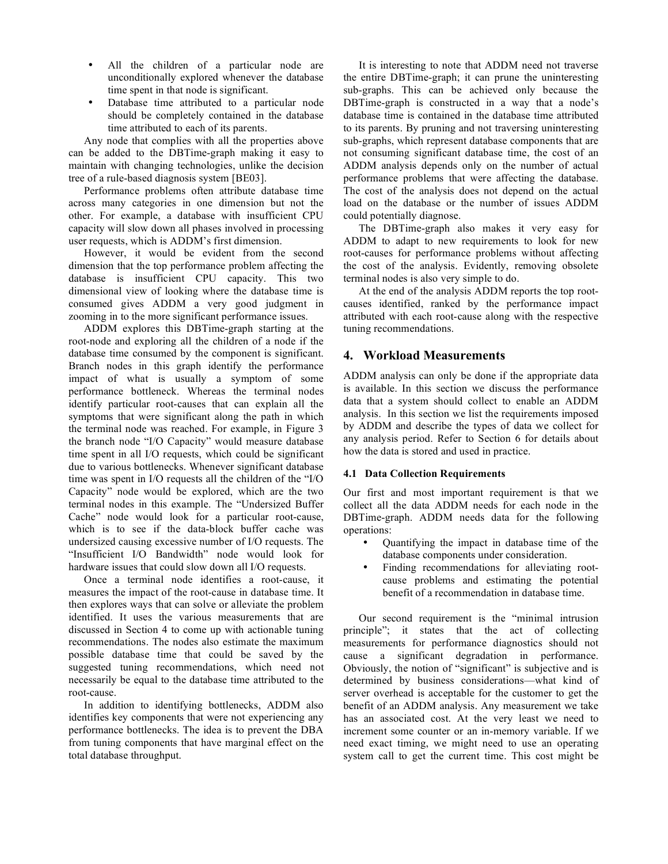- All the children of a particular node are unconditionally explored whenever the database time spent in that node is significant.
- Database time attributed to a particular node should be completely contained in the database time attributed to each of its parents.

Any node that complies with all the properties above can be added to the DBTime-graph making it easy to maintain with changing technologies, unlike the decision tree of a rule-based diagnosis system [BE03].

Performance problems often attribute database time across many categories in one dimension but not the other. For example, a database with insufficient CPU capacity will slow down all phases involved in processing user requests, which is ADDM's first dimension.

However, it would be evident from the second dimension that the top performance problem affecting the database is insufficient CPU capacity. This two dimensional view of looking where the database time is consumed gives ADDM a very good judgment in zooming in to the more significant performance issues.

ADDM explores this DBTime-graph starting at the root-node and exploring all the children of a node if the database time consumed by the component is significant. Branch nodes in this graph identify the performance impact of what is usually a symptom of some performance bottleneck. Whereas the terminal nodes identify particular root-causes that can explain all the symptoms that were significant along the path in which the terminal node was reached. For example, in Figure 3 the branch node "I/O Capacity" would measure database time spent in all I/O requests, which could be significant due to various bottlenecks. Whenever significant database time was spent in I/O requests all the children of the "I/O Capacity" node would be explored, which are the two terminal nodes in this example. The "Undersized Buffer Cache" node would look for a particular root-cause, which is to see if the data-block buffer cache was undersized causing excessive number of I/O requests. The "Insufficient I/O Bandwidth" node would look for hardware issues that could slow down all I/O requests.

Once a terminal node identifies a root-cause, it measures the impact of the root-cause in database time. It then explores ways that can solve or alleviate the problem identified. It uses the various measurements that are discussed in Section 4 to come up with actionable tuning recommendations. The nodes also estimate the maximum possible database time that could be saved by the suggested tuning recommendations, which need not necessarily be equal to the database time attributed to the root-cause.

In addition to identifying bottlenecks, ADDM also identifies key components that were not experiencing any performance bottlenecks. The idea is to prevent the DBA from tuning components that have marginal effect on the total database throughput.

It is interesting to note that ADDM need not traverse the entire DBTime-graph; it can prune the uninteresting sub-graphs. This can be achieved only because the DBTime-graph is constructed in a way that a node's database time is contained in the database time attributed to its parents. By pruning and not traversing uninteresting sub-graphs, which represent database components that are not consuming significant database time, the cost of an ADDM analysis depends only on the number of actual performance problems that were affecting the database. The cost of the analysis does not depend on the actual load on the database or the number of issues ADDM could potentially diagnose.

The DBTime-graph also makes it very easy for ADDM to adapt to new requirements to look for new root-causes for performance problems without affecting the cost of the analysis. Evidently, removing obsolete terminal nodes is also very simple to do.

At the end of the analysis ADDM reports the top rootcauses identified, ranked by the performance impact attributed with each root-cause along with the respective tuning recommendations.

## **4. Workload Measurements**

ADDM analysis can only be done if the appropriate data is available. In this section we discuss the performance data that a system should collect to enable an ADDM analysis. In this section we list the requirements imposed by ADDM and describe the types of data we collect for any analysis period. Refer to Section 6 for details about how the data is stored and used in practice.

#### **4.1 Data Collection Requirements**

Our first and most important requirement is that we collect all the data ADDM needs for each node in the DBTime-graph. ADDM needs data for the following operations:

- Quantifying the impact in database time of the database components under consideration.
- Finding recommendations for alleviating rootcause problems and estimating the potential benefit of a recommendation in database time.

Our second requirement is the "minimal intrusion principle"; it states that the act of collecting measurements for performance diagnostics should not cause a significant degradation in performance. Obviously, the notion of "significant" is subjective and is determined by business considerations—what kind of server overhead is acceptable for the customer to get the benefit of an ADDM analysis. Any measurement we take has an associated cost. At the very least we need to increment some counter or an in-memory variable. If we need exact timing, we might need to use an operating system call to get the current time. This cost might be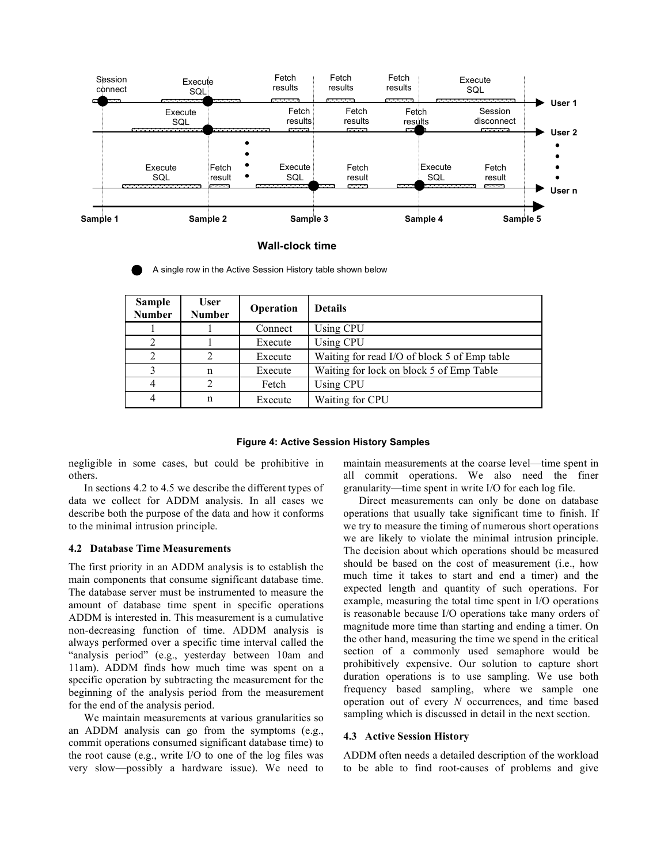

#### **Wall-clock time**

| <b>Sample</b><br><b>Number</b> | <b>User</b><br><b>Number</b> | Operation | <b>Details</b>                               |
|--------------------------------|------------------------------|-----------|----------------------------------------------|
|                                |                              | Connect   | Using CPU                                    |
| 2                              |                              | Execute   | Using CPU                                    |
| 2                              | $\mathcal{D}$                | Execute   | Waiting for read I/O of block 5 of Emp table |
|                                | n                            | Execute   | Waiting for lock on block 5 of Emp Table     |
| 4                              | C                            | Fetch     | Using CPU                                    |
| 4                              | n                            | Execute   | Waiting for CPU                              |

A single row in the Active Session History table shown below

#### **Figure 4: Active Session History Samples**

negligible in some cases, but could be prohibitive in others.

In sections 4.2 to 4.5 we describe the different types of data we collect for ADDM analysis. In all cases we describe both the purpose of the data and how it conforms to the minimal intrusion principle.

#### **4.2 Database Time Measurements**

The first priority in an ADDM analysis is to establish the main components that consume significant database time. The database server must be instrumented to measure the amount of database time spent in specific operations ADDM is interested in. This measurement is a cumulative non-decreasing function of time. ADDM analysis is always performed over a specific time interval called the "analysis period" (e.g., yesterday between 10am and 11am). ADDM finds how much time was spent on a specific operation by subtracting the measurement for the beginning of the analysis period from the measurement for the end of the analysis period.

We maintain measurements at various granularities so an ADDM analysis can go from the symptoms (e.g., commit operations consumed significant database time) to the root cause (e.g., write I/O to one of the log files was very slow—possibly a hardware issue). We need to maintain measurements at the coarse level—time spent in all commit operations. We also need the finer granularity—time spent in write I/O for each log file.

Direct measurements can only be done on database operations that usually take significant time to finish. If we try to measure the timing of numerous short operations we are likely to violate the minimal intrusion principle. The decision about which operations should be measured should be based on the cost of measurement (i.e., how much time it takes to start and end a timer) and the expected length and quantity of such operations. For example, measuring the total time spent in I/O operations is reasonable because I/O operations take many orders of magnitude more time than starting and ending a timer. On the other hand, measuring the time we spend in the critical section of a commonly used semaphore would be prohibitively expensive. Our solution to capture short duration operations is to use sampling. We use both frequency based sampling, where we sample one operation out of every *N* occurrences, and time based sampling which is discussed in detail in the next section.

#### **4.3 Active Session History**

ADDM often needs a detailed description of the workload to be able to find root-causes of problems and give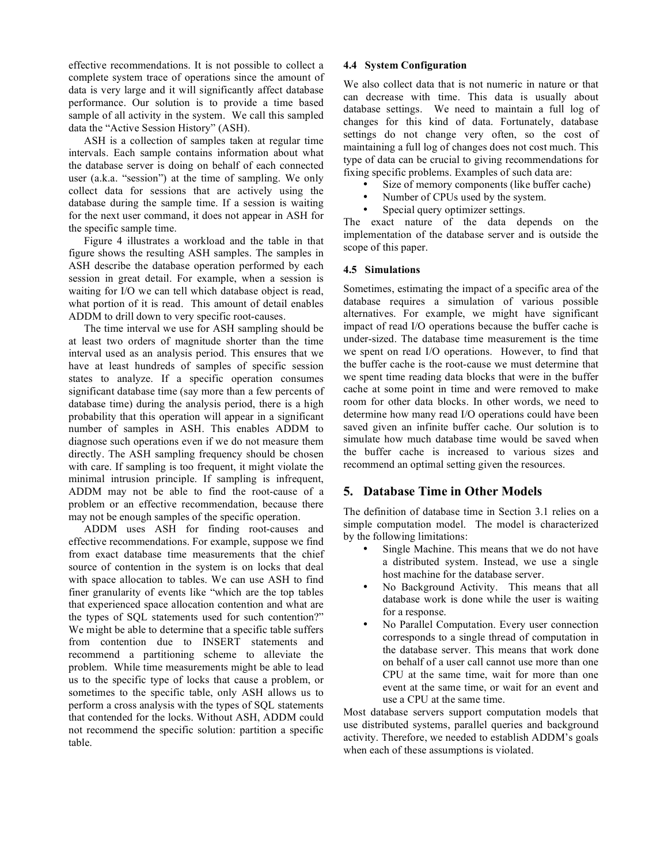effective recommendations. It is not possible to collect a complete system trace of operations since the amount of data is very large and it will significantly affect database performance. Our solution is to provide a time based sample of all activity in the system. We call this sampled data the "Active Session History" (ASH).

ASH is a collection of samples taken at regular time intervals. Each sample contains information about what the database server is doing on behalf of each connected user (a.k.a. "session") at the time of sampling. We only collect data for sessions that are actively using the database during the sample time. If a session is waiting for the next user command, it does not appear in ASH for the specific sample time.

Figure 4 illustrates a workload and the table in that figure shows the resulting ASH samples. The samples in ASH describe the database operation performed by each session in great detail. For example, when a session is waiting for I/O we can tell which database object is read, what portion of it is read. This amount of detail enables ADDM to drill down to very specific root-causes.

The time interval we use for ASH sampling should be at least two orders of magnitude shorter than the time interval used as an analysis period. This ensures that we have at least hundreds of samples of specific session states to analyze. If a specific operation consumes significant database time (say more than a few percents of database time) during the analysis period, there is a high probability that this operation will appear in a significant number of samples in ASH. This enables ADDM to diagnose such operations even if we do not measure them directly. The ASH sampling frequency should be chosen with care. If sampling is too frequent, it might violate the minimal intrusion principle. If sampling is infrequent, ADDM may not be able to find the root-cause of a problem or an effective recommendation, because there may not be enough samples of the specific operation.

ADDM uses ASH for finding root-causes and effective recommendations. For example, suppose we find from exact database time measurements that the chief source of contention in the system is on locks that deal with space allocation to tables. We can use ASH to find finer granularity of events like "which are the top tables that experienced space allocation contention and what are the types of SQL statements used for such contention?" We might be able to determine that a specific table suffers from contention due to INSERT statements and recommend a partitioning scheme to alleviate the problem. While time measurements might be able to lead us to the specific type of locks that cause a problem, or sometimes to the specific table, only ASH allows us to perform a cross analysis with the types of SQL statements that contended for the locks. Without ASH, ADDM could not recommend the specific solution: partition a specific table.

## **4.4 System Configuration**

We also collect data that is not numeric in nature or that can decrease with time. This data is usually about database settings. We need to maintain a full log of changes for this kind of data. Fortunately, database settings do not change very often, so the cost of maintaining a full log of changes does not cost much. This type of data can be crucial to giving recommendations for fixing specific problems. Examples of such data are:

- Size of memory components (like buffer cache)
- Number of CPUs used by the system.
- Special query optimizer settings.

The exact nature of the data depends on the implementation of the database server and is outside the scope of this paper.

## **4.5 Simulations**

Sometimes, estimating the impact of a specific area of the database requires a simulation of various possible alternatives. For example, we might have significant impact of read I/O operations because the buffer cache is under-sized. The database time measurement is the time we spent on read I/O operations. However, to find that the buffer cache is the root-cause we must determine that we spent time reading data blocks that were in the buffer cache at some point in time and were removed to make room for other data blocks. In other words, we need to determine how many read I/O operations could have been saved given an infinite buffer cache. Our solution is to simulate how much database time would be saved when the buffer cache is increased to various sizes and recommend an optimal setting given the resources.

# **5. Database Time in Other Models**

The definition of database time in Section 3.1 relies on a simple computation model. The model is characterized by the following limitations:

- Single Machine. This means that we do not have a distributed system. Instead, we use a single host machine for the database server.
- No Background Activity. This means that all database work is done while the user is waiting for a response.
- No Parallel Computation. Every user connection corresponds to a single thread of computation in the database server. This means that work done on behalf of a user call cannot use more than one CPU at the same time, wait for more than one event at the same time, or wait for an event and use a CPU at the same time.

Most database servers support computation models that use distributed systems, parallel queries and background activity. Therefore, we needed to establish ADDM's goals when each of these assumptions is violated.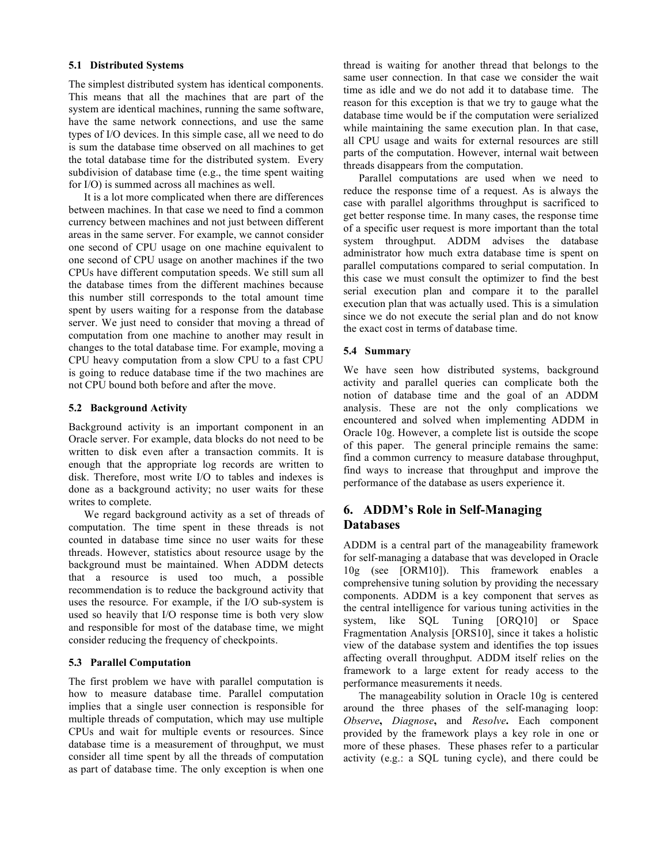#### **5.1 Distributed Systems**

The simplest distributed system has identical components. This means that all the machines that are part of the system are identical machines, running the same software, have the same network connections, and use the same types of I/O devices. In this simple case, all we need to do is sum the database time observed on all machines to get the total database time for the distributed system. Every subdivision of database time (e.g., the time spent waiting for I/O) is summed across all machines as well.

It is a lot more complicated when there are differences between machines. In that case we need to find a common currency between machines and not just between different areas in the same server. For example, we cannot consider one second of CPU usage on one machine equivalent to one second of CPU usage on another machines if the two CPUs have different computation speeds. We still sum all the database times from the different machines because this number still corresponds to the total amount time spent by users waiting for a response from the database server. We just need to consider that moving a thread of computation from one machine to another may result in changes to the total database time. For example, moving a CPU heavy computation from a slow CPU to a fast CPU is going to reduce database time if the two machines are not CPU bound both before and after the move.

#### **5.2 Background Activity**

Background activity is an important component in an Oracle server. For example, data blocks do not need to be written to disk even after a transaction commits. It is enough that the appropriate log records are written to disk. Therefore, most write I/O to tables and indexes is done as a background activity; no user waits for these writes to complete.

We regard background activity as a set of threads of computation. The time spent in these threads is not counted in database time since no user waits for these threads. However, statistics about resource usage by the background must be maintained. When ADDM detects that a resource is used too much, a possible recommendation is to reduce the background activity that uses the resource. For example, if the I/O sub-system is used so heavily that I/O response time is both very slow and responsible for most of the database time, we might consider reducing the frequency of checkpoints.

#### **5.3 Parallel Computation**

The first problem we have with parallel computation is how to measure database time. Parallel computation implies that a single user connection is responsible for multiple threads of computation, which may use multiple CPUs and wait for multiple events or resources. Since database time is a measurement of throughput, we must consider all time spent by all the threads of computation as part of database time. The only exception is when one thread is waiting for another thread that belongs to the same user connection. In that case we consider the wait time as idle and we do not add it to database time. The reason for this exception is that we try to gauge what the database time would be if the computation were serialized while maintaining the same execution plan. In that case, all CPU usage and waits for external resources are still parts of the computation. However, internal wait between threads disappears from the computation.

Parallel computations are used when we need to reduce the response time of a request. As is always the case with parallel algorithms throughput is sacrificed to get better response time. In many cases, the response time of a specific user request is more important than the total system throughput. ADDM advises the database administrator how much extra database time is spent on parallel computations compared to serial computation. In this case we must consult the optimizer to find the best serial execution plan and compare it to the parallel execution plan that was actually used. This is a simulation since we do not execute the serial plan and do not know the exact cost in terms of database time.

#### **5.4 Summary**

We have seen how distributed systems, background activity and parallel queries can complicate both the notion of database time and the goal of an ADDM analysis. These are not the only complications we encountered and solved when implementing ADDM in Oracle 10g. However, a complete list is outside the scope of this paper. The general principle remains the same: find a common currency to measure database throughput, find ways to increase that throughput and improve the performance of the database as users experience it.

# **6. ADDM's Role in Self-Managing Databases**

ADDM is a central part of the manageability framework for self-managing a database that was developed in Oracle 10g (see [ORM10]). This framework enables a comprehensive tuning solution by providing the necessary components. ADDM is a key component that serves as the central intelligence for various tuning activities in the system, like SQL Tuning [ORQ10] or Space Fragmentation Analysis [ORS10], since it takes a holistic view of the database system and identifies the top issues affecting overall throughput. ADDM itself relies on the framework to a large extent for ready access to the performance measurements it needs.

The manageability solution in Oracle 10g is centered around the three phases of the self-managing loop: *Observe***,** *Diagnose***,** and *Resolve***.** Each component provided by the framework plays a key role in one or more of these phases. These phases refer to a particular activity (e.g.: a SQL tuning cycle), and there could be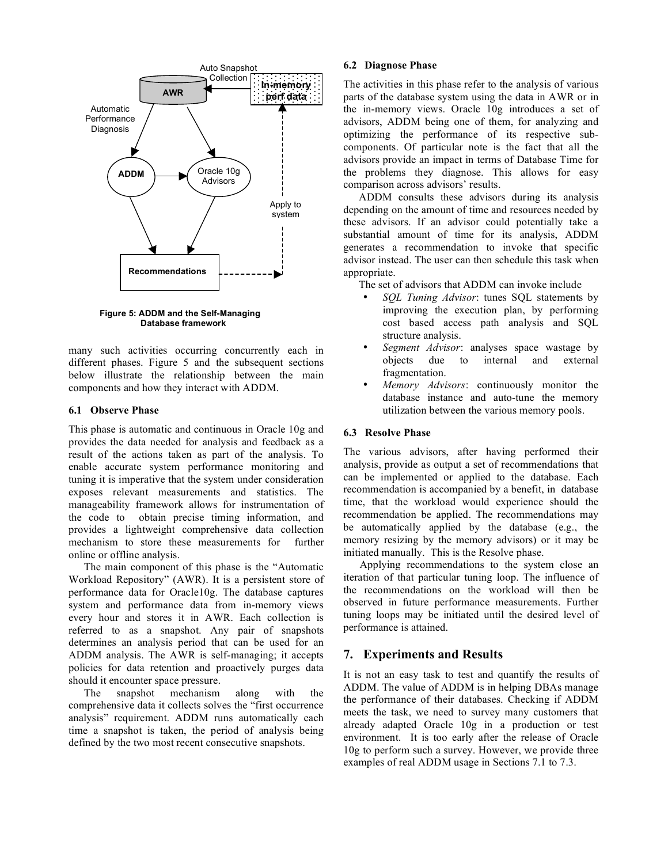

**Figure 5: ADDM and the Self-Managing Database framework**

many such activities occurring concurrently each in different phases. Figure 5 and the subsequent sections below illustrate the relationship between the main components and how they interact with ADDM.

#### **6.1 Observe Phase**

This phase is automatic and continuous in Oracle 10g and provides the data needed for analysis and feedback as a result of the actions taken as part of the analysis. To enable accurate system performance monitoring and tuning it is imperative that the system under consideration exposes relevant measurements and statistics. The manageability framework allows for instrumentation of the code to obtain precise timing information, and provides a lightweight comprehensive data collection mechanism to store these measurements for further online or offline analysis.

The main component of this phase is the "Automatic Workload Repository" (AWR). It is a persistent store of performance data for Oracle10g. The database captures system and performance data from in-memory views every hour and stores it in AWR. Each collection is referred to as a snapshot. Any pair of snapshots determines an analysis period that can be used for an ADDM analysis. The AWR is self-managing; it accepts policies for data retention and proactively purges data should it encounter space pressure.

The snapshot mechanism along with the comprehensive data it collects solves the "first occurrence analysis" requirement. ADDM runs automatically each time a snapshot is taken, the period of analysis being defined by the two most recent consecutive snapshots.

#### **6.2 Diagnose Phase**

The activities in this phase refer to the analysis of various parts of the database system using the data in AWR or in the in-memory views. Oracle 10g introduces a set of advisors, ADDM being one of them, for analyzing and optimizing the performance of its respective subcomponents. Of particular note is the fact that all the advisors provide an impact in terms of Database Time for the problems they diagnose. This allows for easy comparison across advisors' results.

ADDM consults these advisors during its analysis depending on the amount of time and resources needed by these advisors. If an advisor could potentially take a substantial amount of time for its analysis, ADDM generates a recommendation to invoke that specific advisor instead. The user can then schedule this task when appropriate.

The set of advisors that ADDM can invoke include

- *SQL Tuning Advisor*: tunes SQL statements by improving the execution plan, by performing cost based access path analysis and SQL structure analysis.
- *Segment Advisor*: analyses space wastage by objects due to internal fragmentation.
- *Memory Advisors*: continuously monitor the database instance and auto-tune the memory utilization between the various memory pools.

#### **6.3 Resolve Phase**

The various advisors, after having performed their analysis, provide as output a set of recommendations that can be implemented or applied to the database. Each recommendation is accompanied by a benefit, in database time, that the workload would experience should the recommendation be applied. The recommendations may be automatically applied by the database (e.g., the memory resizing by the memory advisors) or it may be initiated manually. This is the Resolve phase.

Applying recommendations to the system close an iteration of that particular tuning loop. The influence of the recommendations on the workload will then be observed in future performance measurements. Further tuning loops may be initiated until the desired level of performance is attained.

# **7. Experiments and Results**

It is not an easy task to test and quantify the results of ADDM. The value of ADDM is in helping DBAs manage the performance of their databases. Checking if ADDM meets the task, we need to survey many customers that already adapted Oracle 10g in a production or test environment. It is too early after the release of Oracle 10g to perform such a survey. However, we provide three examples of real ADDM usage in Sections 7.1 to 7.3.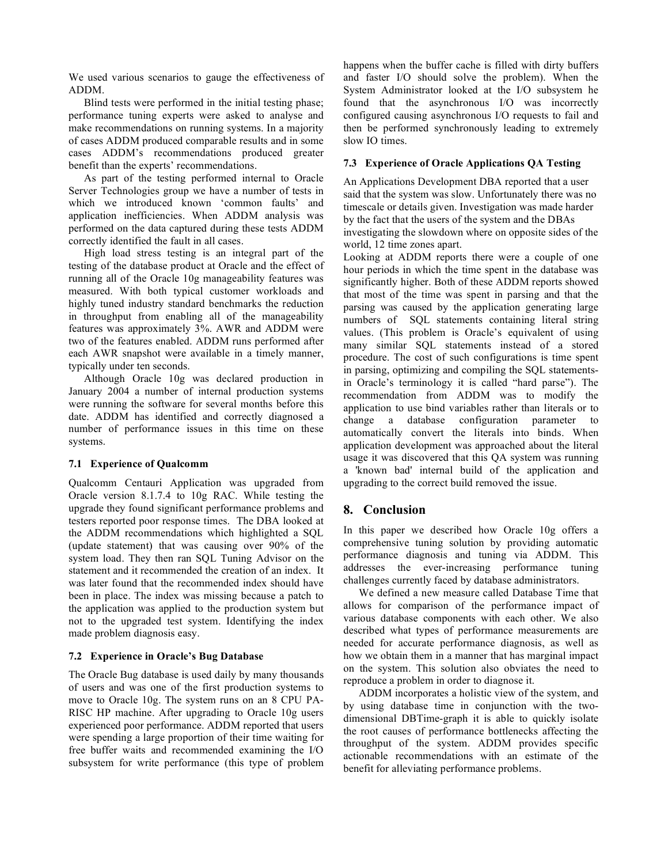We used various scenarios to gauge the effectiveness of ADDM.

Blind tests were performed in the initial testing phase; performance tuning experts were asked to analyse and make recommendations on running systems. In a majority of cases ADDM produced comparable results and in some cases ADDM's recommendations produced greater benefit than the experts' recommendations.

As part of the testing performed internal to Oracle Server Technologies group we have a number of tests in which we introduced known 'common faults' and application inefficiencies. When ADDM analysis was performed on the data captured during these tests ADDM correctly identified the fault in all cases.

High load stress testing is an integral part of the testing of the database product at Oracle and the effect of running all of the Oracle 10g manageability features was measured. With both typical customer workloads and highly tuned industry standard benchmarks the reduction in throughput from enabling all of the manageability features was approximately 3%. AWR and ADDM were two of the features enabled. ADDM runs performed after each AWR snapshot were available in a timely manner, typically under ten seconds.

Although Oracle 10g was declared production in January 2004 a number of internal production systems were running the software for several months before this date. ADDM has identified and correctly diagnosed a number of performance issues in this time on these systems.

#### **7.1 Experience of Qualcomm**

Qualcomm Centauri Application was upgraded from Oracle version 8.1.7.4 to 10g RAC. While testing the upgrade they found significant performance problems and testers reported poor response times. The DBA looked at the ADDM recommendations which highlighted a SQL (update statement) that was causing over 90% of the system load. They then ran SQL Tuning Advisor on the statement and it recommended the creation of an index. It was later found that the recommended index should have been in place. The index was missing because a patch to the application was applied to the production system but not to the upgraded test system. Identifying the index made problem diagnosis easy.

#### **7.2 Experience in Oracle's Bug Database**

The Oracle Bug database is used daily by many thousands of users and was one of the first production systems to move to Oracle 10g. The system runs on an 8 CPU PA-RISC HP machine. After upgrading to Oracle 10g users experienced poor performance. ADDM reported that users were spending a large proportion of their time waiting for free buffer waits and recommended examining the I/O subsystem for write performance (this type of problem happens when the buffer cache is filled with dirty buffers and faster I/O should solve the problem). When the System Administrator looked at the I/O subsystem he found that the asynchronous I/O was incorrectly configured causing asynchronous I/O requests to fail and then be performed synchronously leading to extremely slow IO times.

## **7.3 Experience of Oracle Applications QA Testing**

An Applications Development DBA reported that a user said that the system was slow. Unfortunately there was no timescale or details given. Investigation was made harder by the fact that the users of the system and the DBAs investigating the slowdown where on opposite sides of the world, 12 time zones apart.

Looking at ADDM reports there were a couple of one hour periods in which the time spent in the database was significantly higher. Both of these ADDM reports showed that most of the time was spent in parsing and that the parsing was caused by the application generating large numbers of SQL statements containing literal string values. (This problem is Oracle's equivalent of using many similar SQL statements instead of a stored procedure. The cost of such configurations is time spent in parsing, optimizing and compiling the SQL statementsin Oracle's terminology it is called "hard parse"). The recommendation from ADDM was to modify the application to use bind variables rather than literals or to change a database configuration parameter to automatically convert the literals into binds. When application development was approached about the literal usage it was discovered that this QA system was running a 'known bad' internal build of the application and upgrading to the correct build removed the issue.

# **8. Conclusion**

In this paper we described how Oracle 10g offers a comprehensive tuning solution by providing automatic performance diagnosis and tuning via ADDM. This addresses the ever-increasing performance tuning challenges currently faced by database administrators.

We defined a new measure called Database Time that allows for comparison of the performance impact of various database components with each other. We also described what types of performance measurements are needed for accurate performance diagnosis, as well as how we obtain them in a manner that has marginal impact on the system. This solution also obviates the need to reproduce a problem in order to diagnose it.

ADDM incorporates a holistic view of the system, and by using database time in conjunction with the twodimensional DBTime-graph it is able to quickly isolate the root causes of performance bottlenecks affecting the throughput of the system. ADDM provides specific actionable recommendations with an estimate of the benefit for alleviating performance problems.